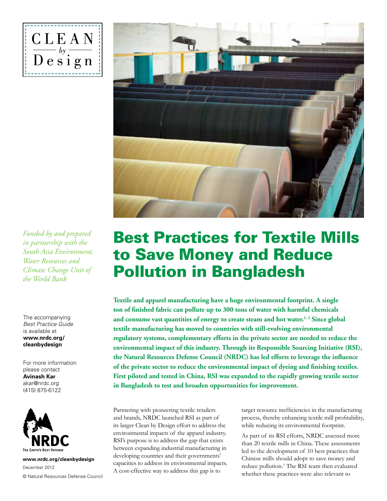



*Funded by and prepared in partnership with the South Asia Environment, Water Resources and Climate Change Unit of the World Bank*

The accompanying *Best Practice Guide* is available at **www.nrdc.org/ cleanbydesign**

For more information please contact **Avinash Kar** akar@nrdc.org (415) 875-6122



**www.nrdc.org/cleanbydesign** © Natural Resources Defense Council December 2012

## Best Practices for Textile Mills to Save Money and Reduce Pollution in Bangladesh

**Textile and apparel manufacturing have a huge environmental footprint. A single ton of finished fabric can pollute up to 300 tons of water with harmful chemicals** and consume vast quantities of energy to create steam and hot water.<sup>1,2</sup> Since global **textile manufacturing has moved to countries with still-evolving environmental regulatory systems, complementary efforts in the private sector are needed to reduce the environmental impact of this industry. Through its Responsible Sourcing Initiative (RSI), the Natural Resources Defense Council (NRDC) has led efforts to leverage the influence of the private sector to reduce the environmental impact of dyeing and finishing textiles. First piloted and tested in China, RSI was expanded to the rapidly growing textile sector in Bangladesh to test and broaden opportunities for improvement.** 

Partnering with pioneering textile retailers and brands, NRDC launched RSI as part of its larger Clean by Design effort to address the environmental impacts of the apparel industry. RSI's purpose is to address the gap that exists between expanding industrial manufacturing in developing countries and their governments' capacities to address its environmental impacts. A cost-effective way to address this gap is to

target resource inefficiencies in the manufacturing process, thereby enhancing textile mill profitability, while reducing its environmental footprint.

As part of its RSI efforts, NRDC assessed more than 20 textile mills in China. These assessments led to the development of 10 best practices that Chinese mills should adopt to save money and reduce pollution.<sup>3</sup> The RSI team then evaluated whether these practices were also relevant to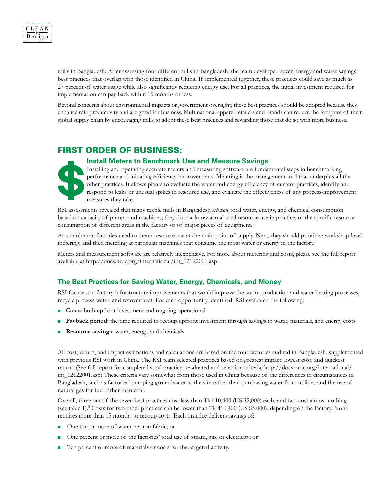mills in Bangladesh. After assessing four different mills in Bangladesh, the team developed seven energy and water savings best practices that overlap with those identified in China. If implemented together, these practices could save as much as 27 percent of water usage while also significantly reducing energy use. For all practices, the initial investment required for implementation can pay back within 15 months or less.

Beyond concerns about environmental impacts or government oversight, these best practices should be adopted because they enhance mill productivity and are good for business. Multinational apparel retailers and brands can reduce the footprint of their global supply chain by encouraging mills to adopt these best practices and rewarding those that do so with more business.

#### First Order of Business:

# **Install Meters to Benchmark Use and Measure Savings**

Installing and operating accurate meters and measuring software are fundamental steps in benchmarking performance and initiating efficiency improvements. Metering is the management tool that underpins all the other practices. It allows plants to evaluate the water and energy efficiency of current practices, identify and respond to leaks or unusual spikes in resource use, and evaluate the effectiveness of any process-improvement measures they take.

RSI assessments revealed that many textile mills in Bangladesh *estimate* total water, energy, and chemical consumption based on capacity of pumps and machines; they do not know actual total resource use in practice, or the specific resource consumption of different areas in the factory or of major pieces of equipment.

At a minimum, factories need to meter resource use at the main point of supply. Next, they should prioritize workshop-level metering, and then metering at particular machines that consume the most water or energy in the factory.4

Meters and measurement software are relatively inexpensive. For more about metering and costs, please see the full report available at http://docs.nrdc.org/international/int\_12122001.asp

#### **The Best Practices for Saving Water, Energy, Chemicals, and Money**

RSI focuses on factory infrastructure improvements that would improve the steam production and water heating processes, recycle process water, and recover heat. For each opportunity identified, RSI evaluated the following:

- **Costs:** both upfront investment and ongoing operational
- **Payback period**: the time required to recoup upfront investment through savings in water, materials, and energy costs
- **Resource savings:** water, energy, and chemicals

All cost, return, and impact estimations and calculations are based on the four factories audited in Bangladesh, supplemented with previous RSI work in China. The RSI team selected practices based on greatest impact, lowest cost, and quickest return. (See full report for complete list of practices evaluated and selection criteria, http://docs.nrdc.org/international/ int\_12122001.asp) These criteria vary somewhat from those used in China because of the differences in circumstances in Bangladesh, such as factories' pumping groundwater at the site rather than purchasing water from utilities and the use of natural gas for fuel rather than coal.

Overall, three out of the seven best practices cost less than Tk 410,400 (US \$5,000) each, and two cost almost nothing (see table 1).<sup>5</sup> Costs for two other practices can be lower than Tk 410,400 (US \$5,000), depending on the factory. None requires more than 15 months to recoup costs. Each practice delivers savings of:

- One ton or more of water per ton fabric; or
- <sup>n</sup> One percent or more of the factories' total use of steam, gas, or electricity; or
- Ten percent or more of materials or costs for the targeted activity.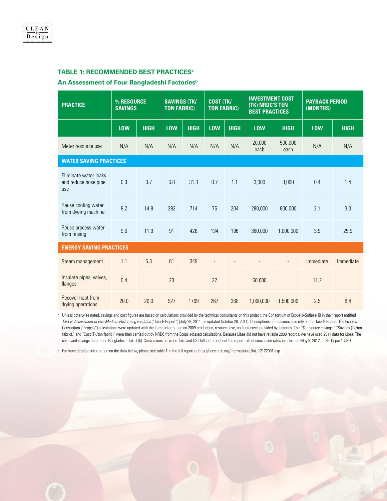#### **Table 1: Recommended Best Practicesa**

#### **An Assessment of Four Bangladeshi Factoriesb**

| <b>PRACTICE</b>                                      | % RESOURCE<br><b>SAVINGS</b> |             | <b>SAVINGS (TK/</b><br><b>TON FABRIC)</b> |             | <b>COST (TK/</b><br><b>TON FABRIC)</b> |             | <b>INVESTMENT COST</b><br><b>(TK) NRDC'S TEN</b><br><b>BEST PRACTICES</b> |                 | <b>PAYBACK PERIOD</b><br>(MONTHS) |             |
|------------------------------------------------------|------------------------------|-------------|-------------------------------------------|-------------|----------------------------------------|-------------|---------------------------------------------------------------------------|-----------------|-----------------------------------|-------------|
|                                                      | <b>LOW</b>                   | <b>HIGH</b> | <b>LOW</b>                                | <b>HIGH</b> | <b>LOW</b>                             | <b>HIGH</b> | <b>LOW</b>                                                                | <b>HIGH</b>     | <b>LOW</b>                        | <b>HIGH</b> |
| Meter resource use                                   | N/A                          | N/A         | N/A                                       | N/A         | N/A                                    | N/A         | 20,000<br>each                                                            | 500,000<br>each | N/A                               | N/A         |
| <b>WATER SAVING PRACTICES</b>                        |                              |             |                                           |             |                                        |             |                                                                           |                 |                                   |             |
| Eliminate water leaks<br>and reduce hose pipe<br>use | 0.3                          | 0.7         | 6.8                                       | 31.3        | 0.7                                    | 1.1         | 3,000                                                                     | 3,000           | 0.4                               | 1.4         |
| Reuse cooling water<br>from dyeing machine           | 8.2                          | 14.8        | 392                                       | 714         | 75                                     | 204         | 280,000                                                                   | 800.000         | 2.1                               | 3.3         |
| Reuse process water<br>from rinsing                  | 9.0                          | 11.9        | 91                                        | 426         | 134                                    | 196         | 380,000                                                                   | 1,000,000       | 3.9                               | 25.9        |
| <b>ENERGY SAVING PRACTICES</b>                       |                              |             |                                           |             |                                        |             |                                                                           |                 |                                   |             |
| Steam management                                     | 1.1                          | 5.3         | 81                                        | 349         |                                        |             |                                                                           |                 | Immediate                         | Immediate   |
| Insulate pipes, valves,<br>flanges                   | 0.4                          |             | 23                                        |             | 22                                     |             | 60,000                                                                    |                 | 11.2                              |             |
| Recover heat from<br>drying operations               | 20.0                         | 20.0        | 527                                       | 1769        | 267                                    | 368         | 1,000,000                                                                 | 1,500,000       | 2.5                               | 8.4         |

a Unless otherwise noted, savings and cost figures are based on calculations provided by the technical consultants on this project, the Consortium of Ecopsis+Sofies+HB in their report entitled *Task B: Assessment of Five Medium Performing Facilities* ("Task B Report") (July 29, 2011, as updated October 28, 2011). Descriptions of measures also rely on the Task B Report. The Ecopsis Consortium ("Ecopsis") calculations were updated with the latest information on 2009 production, resource use, and unit costs provided by factories. The "% resource savings," "Savings (Tk/ton fabric)," and "Cost (Tk/ton fabric)" were then carried out by NRDC from the Ecopsis-based calculations. Because Libas did not have reliable 2009 records, we have used 2011 data for Libas; The costs and savings here are in Bangladeshi Taka (Tk). Conversions between Taka and US Dollars throughout the report reflect conversion rates in effect on May 9, 2012, at 82 Tk per 1 USD.

**b** For more detailed information on the data below, please see table 1 in the full report at http://docs.nrdc.org/international/int\_12122001.asp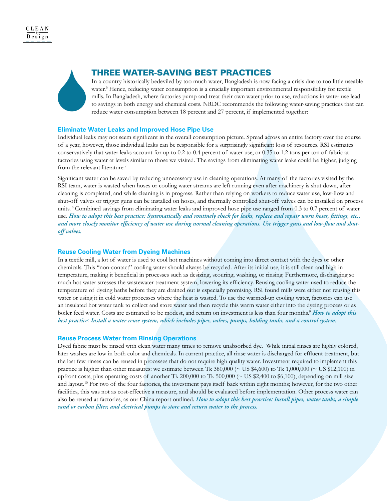



#### THREE WATER-SAVING BEST PRACTICES

In a country historically bedeviled by too much water, Bangladesh is now facing a crisis due to too little useable water.<sup>6</sup> Hence, reducing water consumption is a crucially important environmental responsibility for textile mills. In Bangladesh, where factories pump and treat their own water prior to use, reductions in water use lead to savings in both energy and chemical costs. NRDC recommends the following water-saving practices that can reduce water consumption between 18 percent and 27 percent, if implemented together:

#### **Eliminate Water Leaks and Improved Hose Pipe Use**

Individual leaks may not seem significant in the overall consumption picture. Spread across an entire factory over the course of a year, however, those individual leaks can be responsible for a surprisingly significant loss of resources. RSI estimates conservatively that water leaks account for up to 0.2 to 0.4 percent of water use, or 0.35 to 1.2 tons per ton of fabric at factories using water at levels similar to those we visited. The savings from eliminating water leaks could be higher, judging from the relevant literature.<sup>7</sup>

Significant water can be saved by reducing unnecessary use in cleaning operations. At many of the factories visited by the RSI team, water is wasted when hoses or cooling water streams are left running even after machinery is shut down, after cleaning is completed, and while cleaning is in progress. Rather than relying on workers to reduce water use, low-flow and shut-off valves or trigger guns can be installed on hoses, and thermally controlled shut-off valves can be installed on process units. 8 Combined savings from eliminating water leaks and improved hose pipe use ranged from 0.3 to 0.7 percent of water use. *How to adopt this best practice: Systematically and routinely check for leaks, replace and repair worn hoses, fittings, etc., and more closely monitor efficiency of water use during normal cleaning operations. Use trigger guns and low-flow and shutoff valves.*

#### **Reuse Cooling Water from Dyeing Machines**

In a textile mill, a lot of water is used to cool hot machines without coming into direct contact with the dyes or other chemicals. This "non-contact" cooling water should always be recycled. After its initial use, it is still clean and high in temperature, making it beneficial in processes such as desizing, scouring, washing, or rinsing. Furthermore, discharging so much hot water stresses the wastewater treatment system, lowering its efficiency. Reusing cooling water used to reduce the temperature of dyeing baths before they are drained out is especially promising. RSI found mills were either not reusing this water or using it in cold water processes where the heat is wasted. To use the warmed-up cooling water, factories can use an insulated hot water tank to collect and store water and then recycle this warm water either into the dyeing process or as boiler feed water. Costs are estimated to be modest, and return on investment is less than four months.<sup>9</sup> *How to adopt this best practice: Install a water reuse system, which includes pipes, valves, pumps, holding tanks, and a control system.*

#### **Reuse Process Water from Rinsing Operations**

Dyed fabric must be rinsed with clean water many times to remove unabsorbed dye. While initial rinses are highly colored, later washes are low in both color and chemicals. In current practice, all rinse water is discharged for effluent treatment, but the last few rinses can be reused in processes that do not require high quality water. Investment required to implement this practice is higher than other measures: we estimate between Tk 380,000 (~ US \$4,600) to Tk 1,000,000 (~ US \$12,100) in upfront costs, plus operating costs of another Tk 200,000 to Tk 500,000 ( $\sim$  US \$2,400 to \$6,100), depending on mill size and layout.<sup>10</sup> For two of the four factories, the investment pays itself back within eight months; however, for the two other facilities, this was not as cost-effective a measure, and should be evaluated before implementation. Other process water can also be reused at factories, as our China report outlined. *How to adopt this best practice: Install pipes, water tanks, a simple sand or carbon filter, and electrical pumps to store and return water to the process.*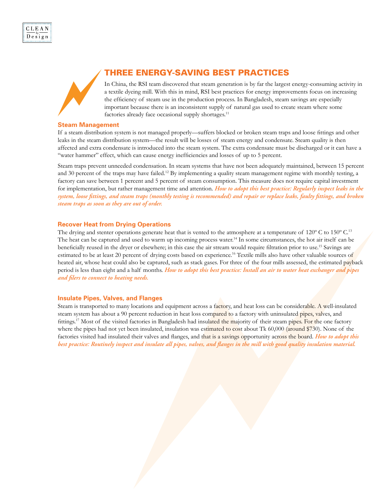### THREE ENERGY-SAVING BEST PRACTICES

In China, the RSI team discovered that steam generation is by far the largest energy-consuming activity in a textile dyeing mill. With this in mind, RSI best practices for energy improvements focus on increasing the efficiency of steam use in the production process. In Bangladesh, steam savings are especially important because there is an inconsistent supply of natural gas used to create steam where some factories already face occasional supply shortages.<sup>11</sup>

#### **Steam Management**

If a steam distribution system is not managed properly—suffers blocked or broken steam traps and loose fittings and other leaks in the steam distribution system—the result will be losses of steam energy and condensate. Steam quality is then affected and extra condensate is introduced into the steam system. The extra condensate must be discharged or it can have a "water hammer" effect, which can cause energy inefficiencies and losses of up to 5 percent.

Steam traps prevent unneeded condensation. In steam systems that have not been adequately maintained, between 15 percent and 30 percent of the traps may have failed.<sup>12</sup> By implementing a quality steam management regime with monthly testing, a factory can save between 1 percent and 5 percent of steam consumption. This measure does not require capital investment for implementation, but rather management time and attention. *How to adopt this best practice: Regularly inspect leaks in the system, loose fittings, and steam traps (monthly testing is recommended) and repair or replace leaks, faulty fittings, and broken steam traps as soon as they are out of order.*

#### **Recover Heat from Drying Operations**

The drying and stenter operations generate heat that is vented to the atmosphere at a temperature of 120° C to 150° C.<sup>13</sup> The heat can be captured and used to warm up incoming process water.14 In some circumstances, the hot air itself can be beneficially reused in the dryer or elsewhere; in this case the air stream would require filtration prior to use.15 Savings are estimated to be at least 20 percent of drying costs based on experience.<sup>16</sup> Textile mills also have other valuable sources of heated air, whose heat could also be captured, such as stack gases. For three of the four mills assessed, the estimated payback period is less than eight and a half months. *How to adopt this best practice: Install an air to water heat exchanger and pipes and filers to connect to heating needs.*

#### **Insulate Pipes, Valves, and Flanges**

Steam is transported to many locations and equipment across a factory, and heat loss can be considerable. A well-insulated steam system has about a 90 percent reduction in heat loss compared to a factory with uninsulated pipes, valves, and fittings.<sup>17</sup> Most of the visited factories in Bangladesh had insulated the majority of their steam pipes. For the one factory where the pipes had not yet been insulated, insulation was estimated to cost about Tk 60,000 (around \$730). None of the factories visited had insulated their valves and flanges, and that is a savings opportunity across the board. *How to adopt this best practice: Routinely inspect and insulate all pipes, valves, and flanges in the mill with good quality insulation material.*